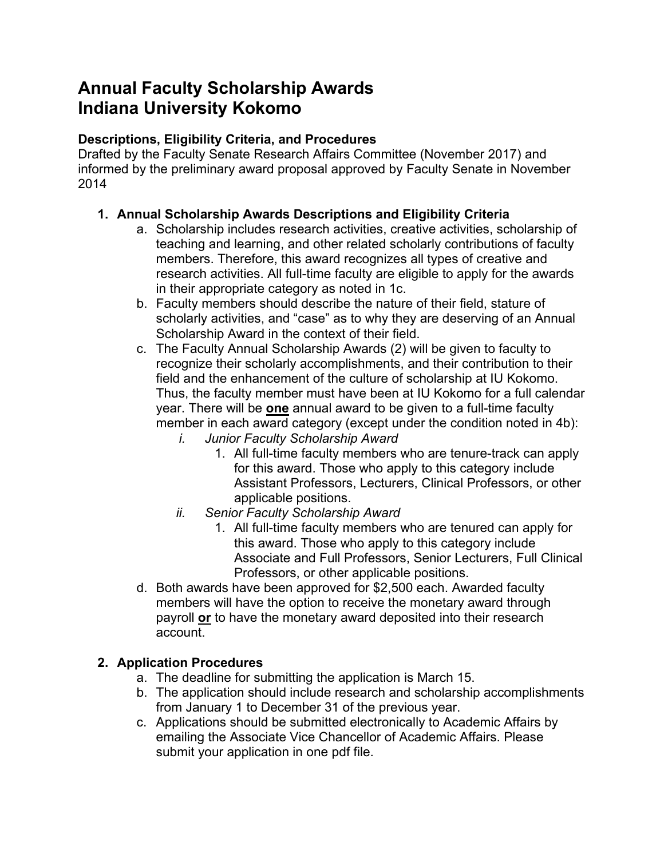# **Annual Faculty Scholarship Awards Indiana University Kokomo**

# **Descriptions, Eligibility Criteria, and Procedures**

Drafted by the Faculty Senate Research Affairs Committee (November 2017) and informed by the preliminary award proposal approved by Faculty Senate in November 2014

# **1. Annual Scholarship Awards Descriptions and Eligibility Criteria**

- a. Scholarship includes research activities, creative activities, scholarship of teaching and learning, and other related scholarly contributions of faculty members. Therefore, this award recognizes all types of creative and research activities. All full-time faculty are eligible to apply for the awards in their appropriate category as noted in 1c.
- b. Faculty members should describe the nature of their field, stature of scholarly activities, and "case" as to why they are deserving of an Annual Scholarship Award in the context of their field.
- c. The Faculty Annual Scholarship Awards (2) will be given to faculty to recognize their scholarly accomplishments, and their contribution to their field and the enhancement of the culture of scholarship at IU Kokomo. Thus, the faculty member must have been at IU Kokomo for a full calendar year. There will be **one** annual award to be given to a full-time faculty member in each award category (except under the condition noted in 4b):
	- *i. Junior Faculty Scholarship Award*
		- 1. All full-time faculty members who are tenure-track can apply for this award. Those who apply to this category include Assistant Professors, Lecturers, Clinical Professors, or other applicable positions.
	- *ii. Senior Faculty Scholarship Award*
		- 1. All full-time faculty members who are tenured can apply for this award. Those who apply to this category include Associate and Full Professors, Senior Lecturers, Full Clinical Professors, or other applicable positions.
- d. Both awards have been approved for \$2,500 each. Awarded faculty members will have the option to receive the monetary award through payroll **or** to have the monetary award deposited into their research account.

### **2. Application Procedures**

- a. The deadline for submitting the application is March 15.
- b. The application should include research and scholarship accomplishments from January 1 to December 31 of the previous year.
- c. Applications should be submitted electronically to Academic Affairs by emailing the Associate Vice Chancellor of Academic Affairs. Please submit your application in one pdf file.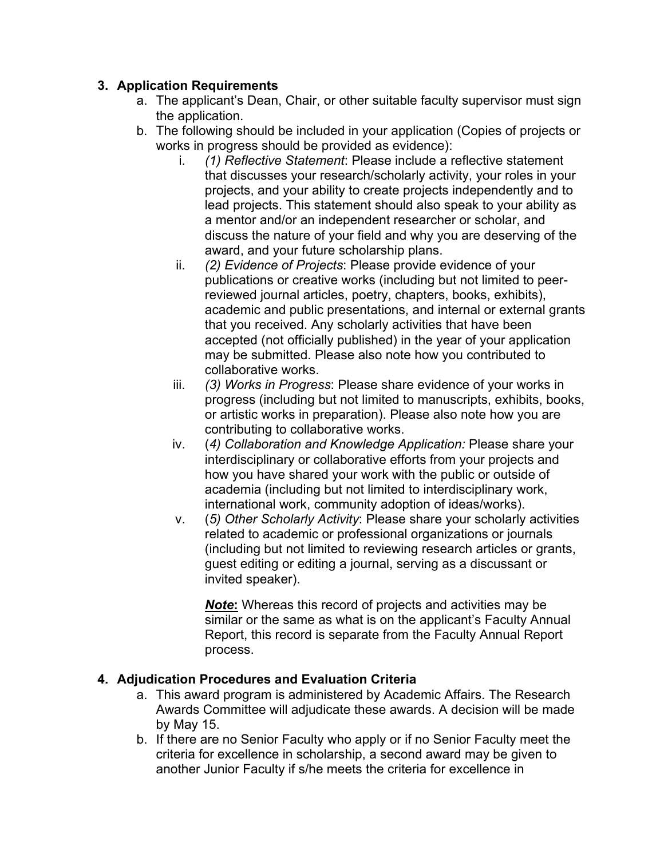# **3. Application Requirements**

- a. The applicant's Dean, Chair, or other suitable faculty supervisor must sign the application.
- b. The following should be included in your application (Copies of projects or works in progress should be provided as evidence):
	- i. *(1) Reflective Statement*: Please include a reflective statement that discusses your research/scholarly activity, your roles in your projects, and your ability to create projects independently and to lead projects. This statement should also speak to your ability as a mentor and/or an independent researcher or scholar, and discuss the nature of your field and why you are deserving of the award, and your future scholarship plans.
	- ii. *(2) Evidence of Projects*: Please provide evidence of your publications or creative works (including but not limited to peerreviewed journal articles, poetry, chapters, books, exhibits), academic and public presentations, and internal or external grants that you received. Any scholarly activities that have been accepted (not officially published) in the year of your application may be submitted. Please also note how you contributed to collaborative works.
	- iii. *(3) Works in Progress*: Please share evidence of your works in progress (including but not limited to manuscripts, exhibits, books, or artistic works in preparation). Please also note how you are contributing to collaborative works.
	- iv. (*4) Collaboration and Knowledge Application:* Please share your interdisciplinary or collaborative efforts from your projects and how you have shared your work with the public or outside of academia (including but not limited to interdisciplinary work, international work, community adoption of ideas/works).
	- v. (*5) Other Scholarly Activity*: Please share your scholarly activities related to academic or professional organizations or journals (including but not limited to reviewing research articles or grants, guest editing or editing a journal, serving as a discussant or invited speaker).

*Note***:** Whereas this record of projects and activities may be similar or the same as what is on the applicant's Faculty Annual Report, this record is separate from the Faculty Annual Report process.

### **4. Adjudication Procedures and Evaluation Criteria**

- a. This award program is administered by Academic Affairs. The Research Awards Committee will adjudicate these awards. A decision will be made by May 15.
- b. If there are no Senior Faculty who apply or if no Senior Faculty meet the criteria for excellence in scholarship, a second award may be given to another Junior Faculty if s/he meets the criteria for excellence in